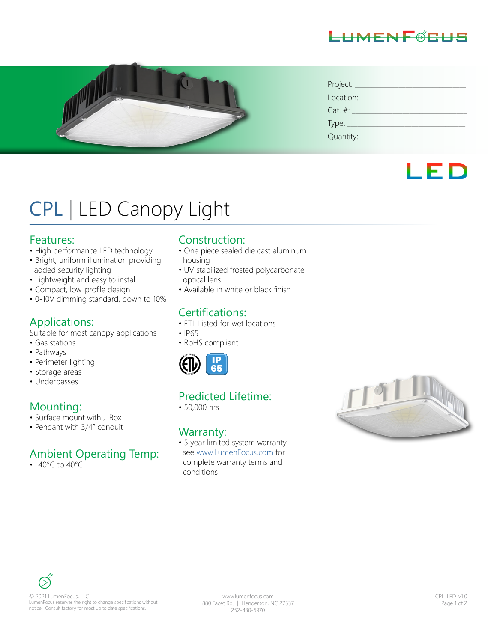



| Project:     |
|--------------|
| Location:    |
| $Cat. \#:$   |
|              |
| Quantity: __ |

## LED

# CPL | LED Canopy Light

#### Features:

- High performance LED technology
- Bright, uniform illumination providing added security lighting
- Lightweight and easy to install
- Compact, low-profile design
- 0-10V dimming standard, down to 10%

#### Applications:

Suitable for most canopy applications

- Gas stations
- Pathways
- Perimeter lighting
- Storage areas
- Underpasses

#### Mounting:

- Surface mount with J-Box
- Pendant with 3/4" conduit

#### Ambient Operating Temp:

• -40°C to 40°C

#### Construction:

- One piece sealed die cast aluminum housing
- UV stabilized frosted polycarbonate optical lens
- Available in white or black finish

#### Certifications:

- FTL Listed for wet locations
- IP65
- RoHS compliant



#### Predicted Lifetime:

• 50,000 hrs

#### Warranty:

• 5 year limited system warranty see www.LumenFocus.com for complete warranty terms and conditions





www.lumenfocus.com 880 Facet Rd. | Henderson, NC 27537 252-430-6970